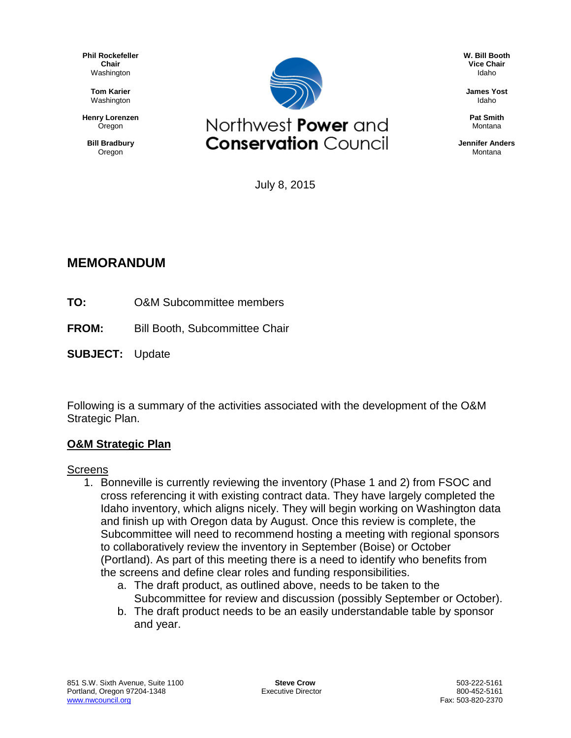**Phil Rockefeller Chair** Washington

> **Tom Karier** Washington

**Henry Lorenzen Oregon** 

**Bill Bradbury** Oregon



**W. Bill Booth Vice Chair** Idaho

**James Yost** Idaho

**Pat Smith** Montana

**Jennifer Anders** Montana

July 8, 2015

# **MEMORANDUM**

- **TO:** O&M Subcommittee members
- **FROM:** Bill Booth, Subcommittee Chair
- **SUBJECT:** Update

Following is a summary of the activities associated with the development of the O&M Strategic Plan.

### **O&M Strategic Plan**

#### **Screens**

- 1. Bonneville is currently reviewing the inventory (Phase 1 and 2) from FSOC and cross referencing it with existing contract data. They have largely completed the Idaho inventory, which aligns nicely. They will begin working on Washington data and finish up with Oregon data by August. Once this review is complete, the Subcommittee will need to recommend hosting a meeting with regional sponsors to collaboratively review the inventory in September (Boise) or October (Portland). As part of this meeting there is a need to identify who benefits from the screens and define clear roles and funding responsibilities.
	- a. The draft product, as outlined above, needs to be taken to the Subcommittee for review and discussion (possibly September or October).
	- b. The draft product needs to be an easily understandable table by sponsor and year.